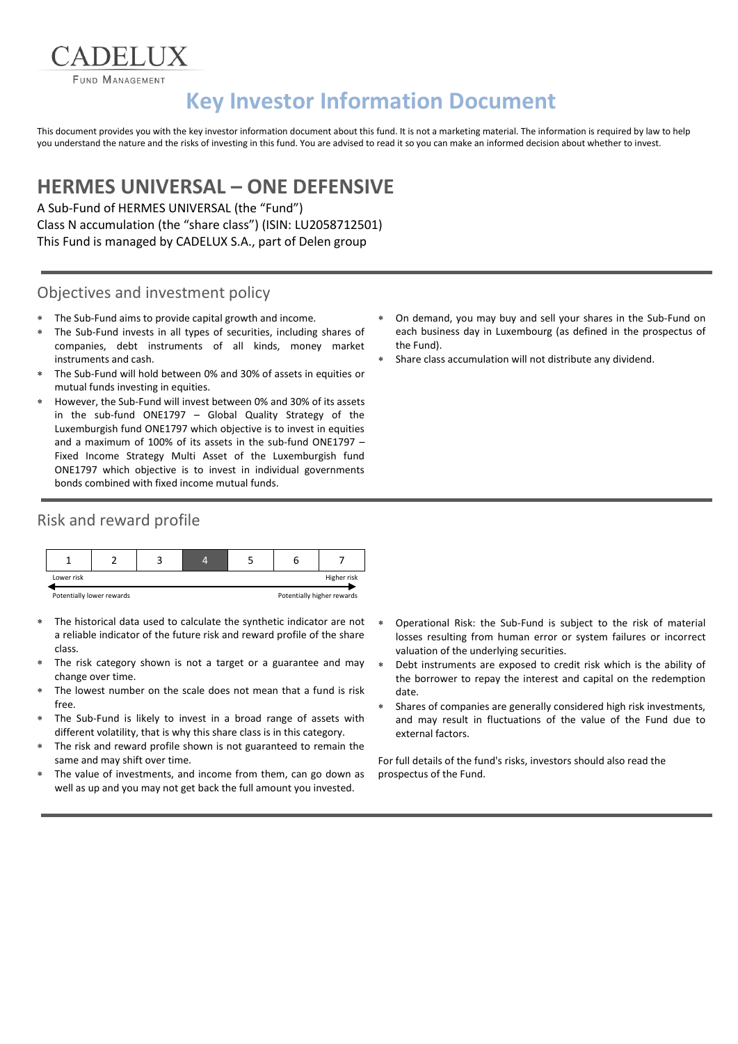**FUND MANAGEMENT** 

# **Key Investor Information Document**

This document provides you with the key investor information document about this fund. It is not a marketing material. The information is required by law to help you understand the nature and the risks of investing in this fund. You are advised to read it so you can make an informed decision about whether to invest.

## **HERMES UNIVERSAL – ONE DEFENSIVE**

A Sub-Fund of HERMES UNIVERSAL (the "Fund") Class N accumulation (the "share class") (ISIN: LU2058712501) This Fund is managed by CADELUX S.A., part of Delen group

#### Objectives and investment policy

- The Sub-Fund aims to provide capital growth and income.
- The Sub-Fund invests in all types of securities, including shares of companies, debt instruments of all kinds, money market instruments and cash.
- The Sub-Fund will hold between 0% and 30% of assets in equities or mutual funds investing in equities.
- However, the Sub-Fund will invest between 0% and 30% of its assets in the sub-fund ONE1797 – Global Quality Strategy of the Luxemburgish fund ONE1797 which objective is to invest in equities and a maximum of 100% of its assets in the sub-fund ONE1797 – Fixed Income Strategy Multi Asset of the Luxemburgish fund ONE1797 which objective is to invest in individual governments bonds combined with fixed income mutual funds.

#### Risk and reward profile



- The historical data used to calculate the synthetic indicator are not a reliable indicator of the future risk and reward profile of the share class.
- The risk category shown is not a target or a guarantee and may change over time.
- The lowest number on the scale does not mean that a fund is risk free.
- The Sub-Fund is likely to invest in a broad range of assets with different volatility, that is why this share class is in this category.
- The risk and reward profile shown is not guaranteed to remain the same and may shift over time.
- The value of investments, and income from them, can go down as well as up and you may not get back the full amount you invested.
- On demand, you may buy and sell your shares in the Sub-Fund on each business day in Luxembourg (as defined in the prospectus of the Fund).
- Share class accumulation will not distribute any dividend.

- Operational Risk: the Sub-Fund is subject to the risk of material losses resulting from human error or system failures or incorrect valuation of the underlying securities.
- Debt instruments are exposed to credit risk which is the ability of the borrower to repay the interest and capital on the redemption date.
- Shares of companies are generally considered high risk investments, and may result in fluctuations of the value of the Fund due to external factors.

For full details of the fund's risks, investors should also read the prospectus of the Fund.